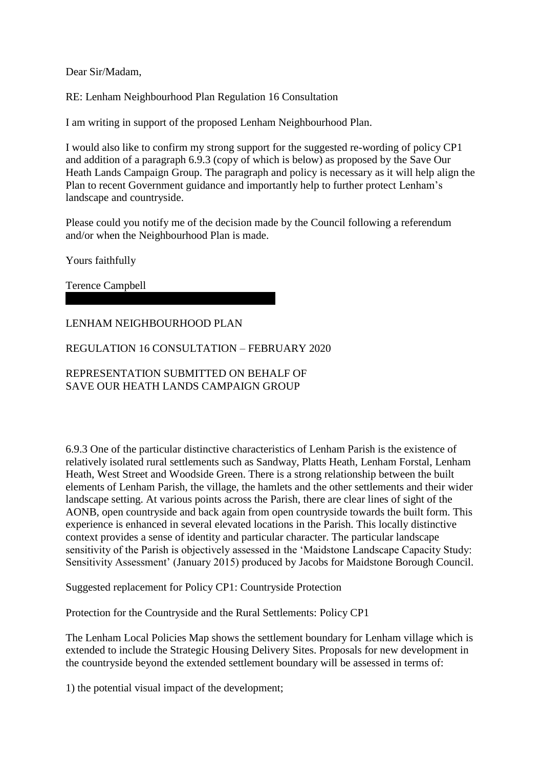Dear Sir/Madam,

RE: Lenham Neighbourhood Plan Regulation 16 Consultation

I am writing in support of the proposed Lenham Neighbourhood Plan.

I would also like to confirm my strong support for the suggested re-wording of policy CP1 and addition of a paragraph 6.9.3 (copy of which is below) as proposed by the Save Our Heath Lands Campaign Group. The paragraph and policy is necessary as it will help align the Plan to recent Government guidance and importantly help to further protect Lenham's landscape and countryside.

Please could you notify me of the decision made by the Council following a referendum and/or when the Neighbourhood Plan is made.

Yours faithfully

Terence Campbell

LENHAM NEIGHBOURHOOD PLAN

REGULATION 16 CONSULTATION – FEBRUARY 2020

REPRESENTATION SUBMITTED ON BEHALF OF SAVE OUR HEATH LANDS CAMPAIGN GROUP

6.9.3 One of the particular distinctive characteristics of Lenham Parish is the existence of relatively isolated rural settlements such as Sandway, Platts Heath, Lenham Forstal, Lenham Heath, West Street and Woodside Green. There is a strong relationship between the built elements of Lenham Parish, the village, the hamlets and the other settlements and their wider landscape setting. At various points across the Parish, there are clear lines of sight of the AONB, open countryside and back again from open countryside towards the built form. This experience is enhanced in several elevated locations in the Parish. This locally distinctive context provides a sense of identity and particular character. The particular landscape sensitivity of the Parish is objectively assessed in the 'Maidstone Landscape Capacity Study: Sensitivity Assessment' (January 2015) produced by Jacobs for Maidstone Borough Council.

Suggested replacement for Policy CP1: Countryside Protection

Protection for the Countryside and the Rural Settlements: Policy CP1

The Lenham Local Policies Map shows the settlement boundary for Lenham village which is extended to include the Strategic Housing Delivery Sites. Proposals for new development in the countryside beyond the extended settlement boundary will be assessed in terms of:

1) the potential visual impact of the development;